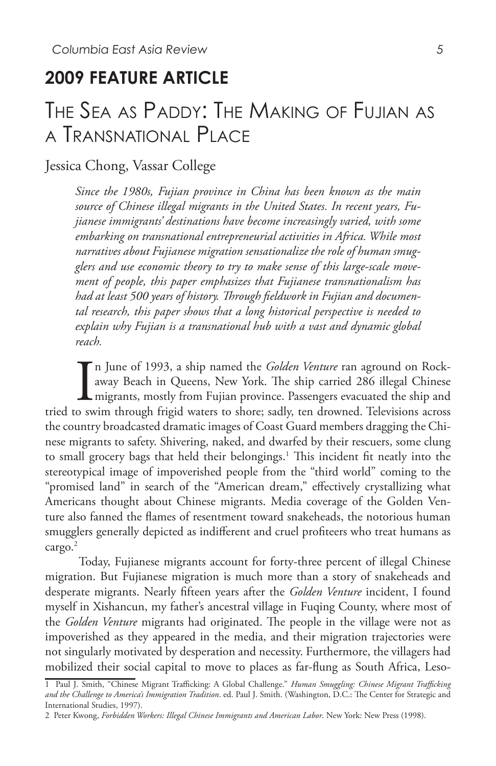## **2009 FEATURE ARTICLE**

# The Sea as Paddy: The Making of Fujian as a Transnational Place

## Jessica Chong, Vassar College

*Since the 1980s, Fujian province in China has been known as the main source of Chinese illegal migrants in the United States. In recent years, Fujianese immigrants' destinations have become increasingly varied, with some embarking on transnational entrepreneurial activities in Africa. While most narratives about Fujianese migration sensationalize the role of human smugglers and use economic theory to try to make sense of this large-scale movement of people, this paper emphasizes that Fujianese transnationalism has had at least 500 years of history. Through fieldwork in Fujian and documental research, this paper shows that a long historical perspective is needed to explain why Fujian is a transnational hub with a vast and dynamic global reach.* 

In June of 1993, a ship named the *Golden Venture* ran aground on Rock-<br>away Beach in Queens, New York. The ship carried 286 illegal Chinese<br>tried to swim through frigid waters to shore; sadly, ten drowned. Televisions acr n June of 1993, a ship named the *Golden Venture* ran aground on Rockaway Beach in Queens, New York. The ship carried 286 illegal Chinese migrants, mostly from Fujian province. Passengers evacuated the ship and the country broadcasted dramatic images of Coast Guard members dragging the Chinese migrants to safety. Shivering, naked, and dwarfed by their rescuers, some clung to small grocery bags that held their belongings.<sup>1</sup> This incident fit neatly into the stereotypical image of impoverished people from the "third world" coming to the "promised land" in search of the "American dream," effectively crystallizing what Americans thought about Chinese migrants. Media coverage of the Golden Venture also fanned the flames of resentment toward snakeheads, the notorious human smugglers generally depicted as indifferent and cruel profiteers who treat humans as cargo.<sup>2</sup>

 Today, Fujianese migrants account for forty-three percent of illegal Chinese migration. But Fujianese migration is much more than a story of snakeheads and desperate migrants. Nearly fifteen years after the *Golden Venture* incident, I found myself in Xishancun, my father's ancestral village in Fuqing County, where most of the *Golden Venture* migrants had originated. The people in the village were not as impoverished as they appeared in the media, and their migration trajectories were not singularly motivated by desperation and necessity. Furthermore, the villagers had mobilized their social capital to move to places as far-flung as South Africa, Leso-

<sup>1</sup> Paul J. Smith, "Chinese Migrant Trafficking: A Global Challenge." *Human Smuggling: Chinese Migrant Trafficking and the Challenge to America's Immigration Tradition*. ed. Paul J. Smith. (Washington, D.C.: The Center for Strategic and International Studies, 1997).

<sup>2</sup> Peter Kwong, *Forbidden Workers: Illegal Chinese Immigrants and American Labor*. New York: New Press (1998).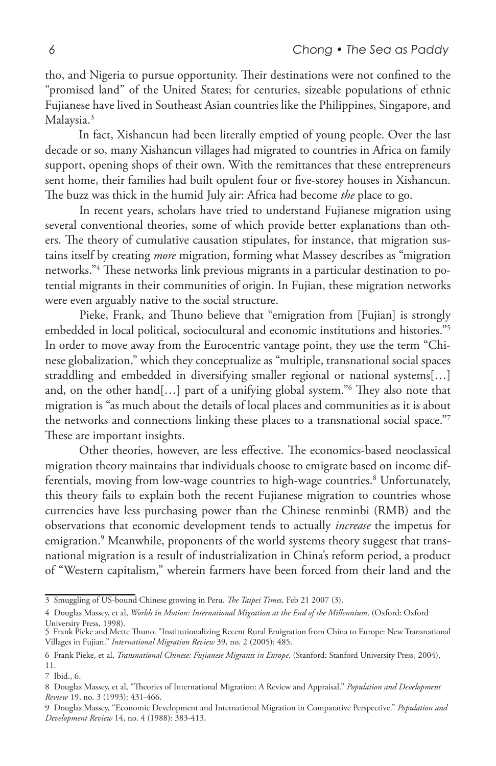tho, and Nigeria to pursue opportunity. Their destinations were not confined to the "promised land" of the United States; for centuries, sizeable populations of ethnic Fujianese have lived in Southeast Asian countries like the Philippines, Singapore, and Malaysia.<sup>3</sup>

 In fact, Xishancun had been literally emptied of young people. Over the last decade or so, many Xishancun villages had migrated to countries in Africa on family support, opening shops of their own. With the remittances that these entrepreneurs sent home, their families had built opulent four or five-storey houses in Xishancun. The buzz was thick in the humid July air: Africa had become *the* place to go.

 In recent years, scholars have tried to understand Fujianese migration using several conventional theories, some of which provide better explanations than others. The theory of cumulative causation stipulates, for instance, that migration sustains itself by creating *more* migration, forming what Massey describes as "migration networks."4 These networks link previous migrants in a particular destination to potential migrants in their communities of origin. In Fujian, these migration networks were even arguably native to the social structure.

 Pieke, Frank, and Thuno believe that "emigration from [Fujian] is strongly embedded in local political, sociocultural and economic institutions and histories."5 In order to move away from the Eurocentric vantage point, they use the term "Chinese globalization," which they conceptualize as "multiple, transnational social spaces straddling and embedded in diversifying smaller regional or national systems[…] and, on the other hand[…] part of a unifying global system."6 They also note that migration is "as much about the details of local places and communities as it is about the networks and connections linking these places to a transnational social space."7 These are important insights.

 Other theories, however, are less effective. The economics-based neoclassical migration theory maintains that individuals choose to emigrate based on income differentials, moving from low-wage countries to high-wage countries.<sup>8</sup> Unfortunately, this theory fails to explain both the recent Fujianese migration to countries whose currencies have less purchasing power than the Chinese renminbi (RMB) and the observations that economic development tends to actually *increase* the impetus for emigration.9 Meanwhile, proponents of the world systems theory suggest that transnational migration is a result of industrialization in China's reform period, a product of "Western capitalism," wherein farmers have been forced from their land and the

<sup>3</sup> Smuggling of US-bound Chinese growing in Peru. *The Taipei Times,* Feb 21 2007 (3).

<sup>4</sup> Douglas Massey, et al, *Worlds in Motion: International Migration at the End of the Millennium*. (Oxford: Oxford University Press, 1998).

<sup>5</sup> Frank Pieke and Mette Thuno. "Institutionalizing Recent Rural Emigration from China to Europe: New Transnational Villages in Fujian." *International Migration Review* 39, no. 2 (2005): 485.

<sup>6</sup> Frank Pieke, et al, *Transnational Chinese: Fujianese Migrants in Europe*. (Stanford: Stanford University Press, 2004), 11.

<sup>7</sup> Ibid., 6.

<sup>8</sup> Douglas Massey, et al, "Theories of International Migration: A Review and Appraisal." *Population and Development Review* 19, no. 3 (1993): 431-466.

<sup>9</sup> Douglas Massey, "Economic Development and International Migration in Comparative Perspective." *Population and Development Review* 14, no. 4 (1988): 383-413.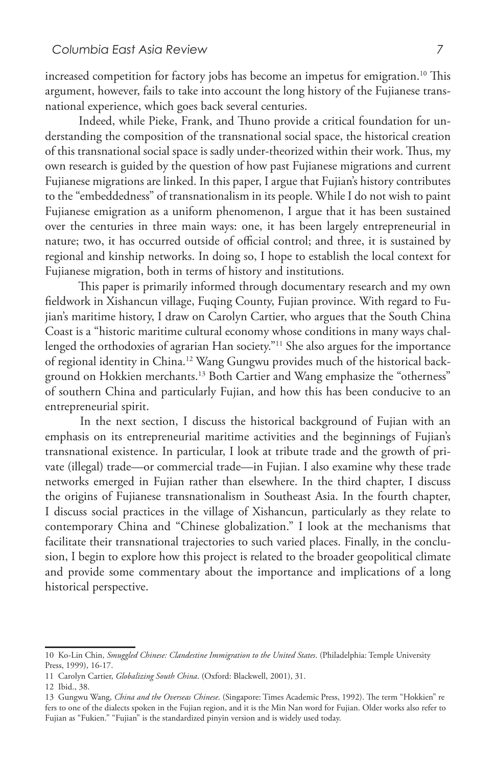increased competition for factory jobs has become an impetus for emigration.<sup>10</sup> This argument, however, fails to take into account the long history of the Fujianese transnational experience, which goes back several centuries.

 Indeed, while Pieke, Frank, and Thuno provide a critical foundation for understanding the composition of the transnational social space, the historical creation of this transnational social space is sadly under-theorized within their work. Thus, my own research is guided by the question of how past Fujianese migrations and current Fujianese migrations are linked. In this paper, I argue that Fujian's history contributes to the "embeddedness" of transnationalism in its people. While I do not wish to paint Fujianese emigration as a uniform phenomenon, I argue that it has been sustained over the centuries in three main ways: one, it has been largely entrepreneurial in nature; two, it has occurred outside of official control; and three, it is sustained by regional and kinship networks. In doing so, I hope to establish the local context for Fujianese migration, both in terms of history and institutions.

 This paper is primarily informed through documentary research and my own fieldwork in Xishancun village, Fuqing County, Fujian province. With regard to Fujian's maritime history, I draw on Carolyn Cartier, who argues that the South China Coast is a "historic maritime cultural economy whose conditions in many ways challenged the orthodoxies of agrarian Han society."11 She also argues for the importance of regional identity in China.12 Wang Gungwu provides much of the historical background on Hokkien merchants.<sup>13</sup> Both Cartier and Wang emphasize the "otherness" of southern China and particularly Fujian, and how this has been conducive to an entrepreneurial spirit.

 In the next section, I discuss the historical background of Fujian with an emphasis on its entrepreneurial maritime activities and the beginnings of Fujian's transnational existence. In particular, I look at tribute trade and the growth of private (illegal) trade—or commercial trade—in Fujian. I also examine why these trade networks emerged in Fujian rather than elsewhere. In the third chapter, I discuss the origins of Fujianese transnationalism in Southeast Asia. In the fourth chapter, I discuss social practices in the village of Xishancun, particularly as they relate to contemporary China and "Chinese globalization." I look at the mechanisms that facilitate their transnational trajectories to such varied places. Finally, in the conclusion, I begin to explore how this project is related to the broader geopolitical climate and provide some commentary about the importance and implications of a long historical perspective.

<sup>10</sup> Ko-Lin Chin, *Smuggled Chinese: Clandestine Immigration to the United States*. (Philadelphia: Temple University Press, 1999), 16-17.

<sup>11</sup> Carolyn Cartier, *Globalizing South China*. (Oxford: Blackwell, 2001), 31.

<sup>12</sup> Ibid., 38.

<sup>13</sup> Gungwu Wang, *China and the Overseas Chinese*. (Singapore: Times Academic Press, 1992). The term "Hokkien" re fers to one of the dialects spoken in the Fujian region, and it is the Min Nan word for Fujian. Older works also refer to Fujian as "Fukien." "Fujian" is the standardized pinyin version and is widely used today.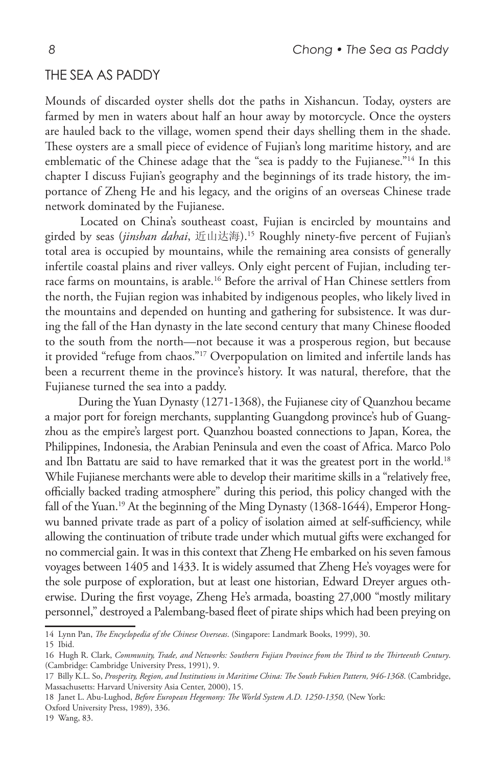#### The Sea as Paddy

Mounds of discarded oyster shells dot the paths in Xishancun. Today, oysters are farmed by men in waters about half an hour away by motorcycle. Once the oysters are hauled back to the village, women spend their days shelling them in the shade. These oysters are a small piece of evidence of Fujian's long maritime history, and are emblematic of the Chinese adage that the "sea is paddy to the Fujianese."<sup>14</sup> In this chapter I discuss Fujian's geography and the beginnings of its trade history, the importance of Zheng He and his legacy, and the origins of an overseas Chinese trade network dominated by the Fujianese.

 Located on China's southeast coast, Fujian is encircled by mountains and girded by seas (*jinshan dahai*, 近山达海).15 Roughly ninety-five percent of Fujian's total area is occupied by mountains, while the remaining area consists of generally infertile coastal plains and river valleys. Only eight percent of Fujian, including terrace farms on mountains, is arable.16 Before the arrival of Han Chinese settlers from the north, the Fujian region was inhabited by indigenous peoples, who likely lived in the mountains and depended on hunting and gathering for subsistence. It was during the fall of the Han dynasty in the late second century that many Chinese flooded to the south from the north—not because it was a prosperous region, but because it provided "refuge from chaos."17 Overpopulation on limited and infertile lands has been a recurrent theme in the province's history. It was natural, therefore, that the Fujianese turned the sea into a paddy.

 During the Yuan Dynasty (1271-1368), the Fujianese city of Quanzhou became a major port for foreign merchants, supplanting Guangdong province's hub of Guangzhou as the empire's largest port. Quanzhou boasted connections to Japan, Korea, the Philippines, Indonesia, the Arabian Peninsula and even the coast of Africa. Marco Polo and Ibn Battatu are said to have remarked that it was the greatest port in the world.<sup>18</sup> While Fujianese merchants were able to develop their maritime skills in a "relatively free, officially backed trading atmosphere" during this period, this policy changed with the fall of the Yuan.<sup>19</sup> At the beginning of the Ming Dynasty (1368-1644), Emperor Hongwu banned private trade as part of a policy of isolation aimed at self-sufficiency, while allowing the continuation of tribute trade under which mutual gifts were exchanged for no commercial gain. It was in this context that Zheng He embarked on his seven famous voyages between 1405 and 1433. It is widely assumed that Zheng He's voyages were for the sole purpose of exploration, but at least one historian, Edward Dreyer argues otherwise. During the first voyage, Zheng He's armada, boasting 27,000 "mostly military personnel," destroyed a Palembang-based fleet of pirate ships which had been preying on

15 Ibid.

<sup>14</sup> Lynn Pan, *The Encyclopedia of the Chinese Overseas*. (Singapore: Landmark Books, 1999), 30.

<sup>16</sup> Hugh R. Clark, *Community, Trade, and Networks: Southern Fujian Province from the Third to the Thirteenth Century*. (Cambridge: Cambridge University Press, 1991), 9.

<sup>17</sup> Billy K.L. So, *Prosperity, Region, and Institutions in Maritime China: The South Fukien Pattern, 946-1368*. (Cambridge, Massachusetts: Harvard University Asia Center, 2000), 15.

<sup>18</sup> Janet L. Abu-Lughod, *Before European Hegemony: The World System A.D. 1250-1350*, (New York:

Oxford University Press, 1989), 336.

<sup>19</sup> Wang, 83.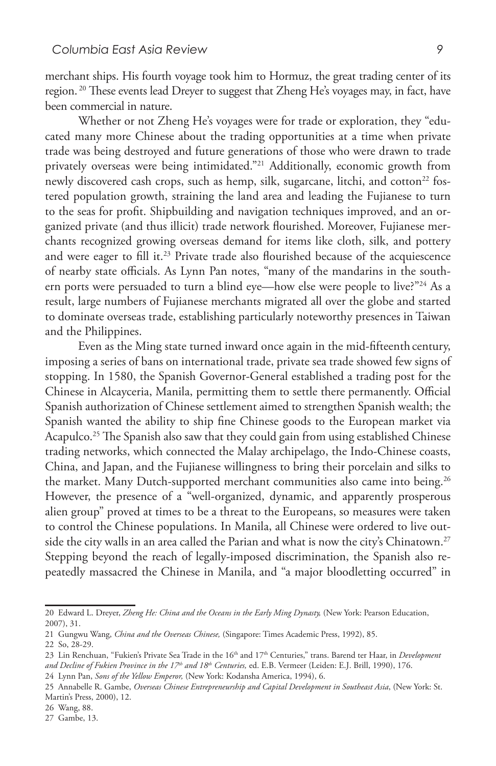merchant ships. His fourth voyage took him to Hormuz, the great trading center of its region.<sup>20</sup> These events lead Dreyer to suggest that Zheng He's voyages may, in fact, have been commercial in nature.

 Whether or not Zheng He's voyages were for trade or exploration, they "educated many more Chinese about the trading opportunities at a time when private trade was being destroyed and future generations of those who were drawn to trade privately overseas were being intimidated."21 Additionally, economic growth from newly discovered cash crops, such as hemp, silk, sugarcane, litchi, and cotton<sup>22</sup> fostered population growth, straining the land area and leading the Fujianese to turn to the seas for profit. Shipbuilding and navigation techniques improved, and an organized private (and thus illicit) trade network flourished. Moreover, Fujianese merchants recognized growing overseas demand for items like cloth, silk, and pottery and were eager to fill it.<sup>23</sup> Private trade also flourished because of the acquiescence of nearby state officials. As Lynn Pan notes, "many of the mandarins in the southern ports were persuaded to turn a blind eye—how else were people to live?"<sup>24</sup> As a result, large numbers of Fujianese merchants migrated all over the globe and started to dominate overseas trade, establishing particularly noteworthy presences in Taiwan and the Philippines.

 Even as the Ming state turned inward once again in the mid-fifteenth century, imposing a series of bans on international trade, private sea trade showed few signs of stopping. In 1580, the Spanish Governor-General established a trading post for the Chinese in Alcayceria, Manila, permitting them to settle there permanently. Official Spanish authorization of Chinese settlement aimed to strengthen Spanish wealth; the Spanish wanted the ability to ship fine Chinese goods to the European market via Acapulco.<sup>25</sup> The Spanish also saw that they could gain from using established Chinese trading networks, which connected the Malay archipelago, the Indo-Chinese coasts, China, and Japan, and the Fujianese willingness to bring their porcelain and silks to the market. Many Dutch-supported merchant communities also came into being.<sup>26</sup> However, the presence of a "well-organized, dynamic, and apparently prosperous alien group" proved at times to be a threat to the Europeans, so measures were taken to control the Chinese populations. In Manila, all Chinese were ordered to live outside the city walls in an area called the Parian and what is now the city's Chinatown.<sup>27</sup> Stepping beyond the reach of legally-imposed discrimination, the Spanish also repeatedly massacred the Chinese in Manila, and "a major bloodletting occurred" in

<sup>20</sup> Edward L. Dreyer, *Zheng He: China and the Oceans in the Early Ming Dynasty,* (New York: Pearson Education, 2007), 31.

<sup>21</sup> Gungwu Wang, *China and the Overseas Chinese,* (Singapore: Times Academic Press, 1992), 85.

<sup>22</sup> So, 28-29.

<sup>23</sup> Lin Renchuan, "Fukien's Private Sea Trade in the 16<sup>th</sup> and 17<sup>th</sup> Centuries," trans. Barend ter Haar, in *Development and Decline of Fukien Province in the 17th and 18th Centuries,* ed. E.B. Vermeer (Leiden: E.J. Brill, 1990), 176.

<sup>24</sup> Lynn Pan, *Sons of the Yellow Emperor,* (New York: Kodansha America, 1994), 6.

<sup>25</sup> Annabelle R. Gambe, *Overseas Chinese Entrepreneurship and Capital Development in Southeast Asia*, (New York: St. Martin's Press, 2000), 12.

<sup>26</sup> Wang, 88.

<sup>27</sup> Gambe, 13.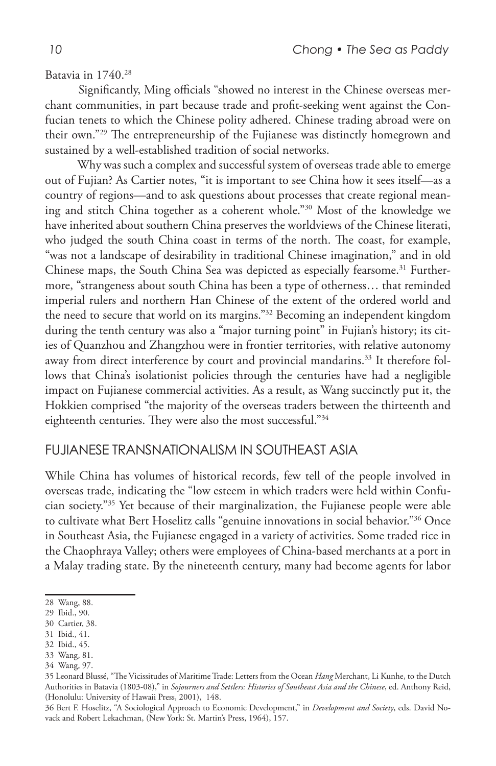#### Batavia in 1740.<sup>28</sup>

 Significantly, Ming officials "showed no interest in the Chinese overseas merchant communities, in part because trade and profit-seeking went against the Confucian tenets to which the Chinese polity adhered. Chinese trading abroad were on their own."29 The entrepreneurship of the Fujianese was distinctly homegrown and sustained by a well-established tradition of social networks.

 Why was such a complex and successful system of overseas trade able to emerge out of Fujian? As Cartier notes, "it is important to see China how it sees itself—as a country of regions—and to ask questions about processes that create regional meaning and stitch China together as a coherent whole."30 Most of the knowledge we have inherited about southern China preserves the worldviews of the Chinese literati, who judged the south China coast in terms of the north. The coast, for example, "was not a landscape of desirability in traditional Chinese imagination," and in old Chinese maps, the South China Sea was depicted as especially fearsome.<sup>31</sup> Furthermore, "strangeness about south China has been a type of otherness… that reminded imperial rulers and northern Han Chinese of the extent of the ordered world and the need to secure that world on its margins."32 Becoming an independent kingdom during the tenth century was also a "major turning point" in Fujian's history; its cities of Quanzhou and Zhangzhou were in frontier territories, with relative autonomy away from direct interference by court and provincial mandarins.<sup>33</sup> It therefore follows that China's isolationist policies through the centuries have had a negligible impact on Fujianese commercial activities. As a result, as Wang succinctly put it, the Hokkien comprised "the majority of the overseas traders between the thirteenth and eighteenth centuries. They were also the most successful."34

### Fujianese Transnationalism In Southeast Asia

While China has volumes of historical records, few tell of the people involved in overseas trade, indicating the "low esteem in which traders were held within Confucian society."35 Yet because of their marginalization, the Fujianese people were able to cultivate what Bert Hoselitz calls "genuine innovations in social behavior."36 Once in Southeast Asia, the Fujianese engaged in a variety of activities. Some traded rice in the Chaophraya Valley; others were employees of China-based merchants at a port in a Malay trading state. By the nineteenth century, many had become agents for labor

<sup>28</sup> Wang, 88.

<sup>29</sup> Ibid., 90.

<sup>30</sup> Cartier, 38.

<sup>31</sup> Ibid., 41.

<sup>32</sup> Ibid., 45.

<sup>33</sup> Wang, 81.

<sup>34</sup> Wang, 97.

<sup>35</sup> Leonard Blussé, "The Vicissitudes of Maritime Trade: Letters from the Ocean *Hang* Merchant, Li Kunhe, to the Dutch Authorities in Batavia (1803-08)," in *Sojourners and Settlers: Histories of Southeast Asia and the Chinese*, ed. Anthony Reid, (Honolulu: University of Hawaii Press, 2001), 148.

<sup>36</sup> Bert F. Hoselitz, "A Sociological Approach to Economic Development," in *Development and Society*, eds. David Novack and Robert Lekachman, (New York: St. Martin's Press, 1964), 157.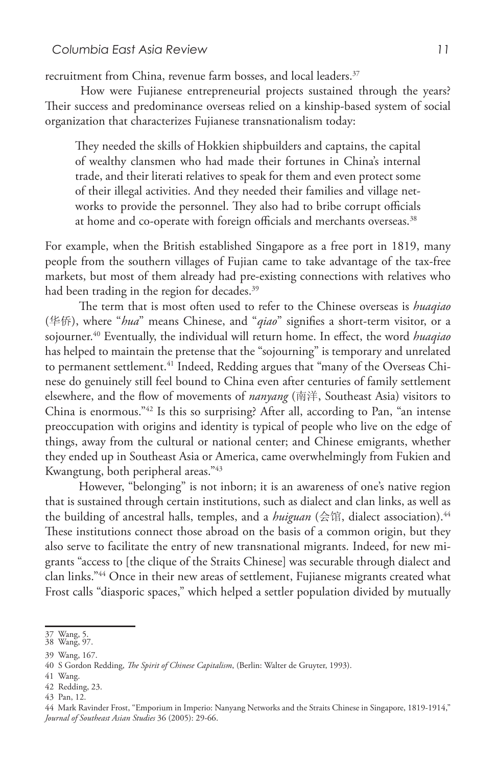recruitment from China, revenue farm bosses, and local leaders.<sup>37</sup>

 How were Fujianese entrepreneurial projects sustained through the years? Their success and predominance overseas relied on a kinship-based system of social organization that characterizes Fujianese transnationalism today:

They needed the skills of Hokkien shipbuilders and captains, the capital of wealthy clansmen who had made their fortunes in China's internal trade, and their literati relatives to speak for them and even protect some of their illegal activities. And they needed their families and village networks to provide the personnel. They also had to bribe corrupt officials at home and co-operate with foreign officials and merchants overseas.<sup>38</sup>

For example, when the British established Singapore as a free port in 1819, many people from the southern villages of Fujian came to take advantage of the tax-free markets, but most of them already had pre-existing connections with relatives who had been trading in the region for decades.<sup>39</sup>

 The term that is most often used to refer to the Chinese overseas is *huaqiao*  (华侨), where "*hua*" means Chinese, and "*qiao*" signifies a short-term visitor, or a sojourner.40 Eventually, the individual will return home. In effect, the word *huaqiao* has helped to maintain the pretense that the "sojourning" is temporary and unrelated to permanent settlement.<sup>41</sup> Indeed, Redding argues that "many of the Overseas Chinese do genuinely still feel bound to China even after centuries of family settlement elsewhere, and the flow of movements of *nanyang* (南洋, Southeast Asia) visitors to China is enormous."42 Is this so surprising? After all, according to Pan, "an intense preoccupation with origins and identity is typical of people who live on the edge of things, away from the cultural or national center; and Chinese emigrants, whether they ended up in Southeast Asia or America, came overwhelmingly from Fukien and Kwangtung, both peripheral areas."43

 However, "belonging" is not inborn; it is an awareness of one's native region that is sustained through certain institutions, such as dialect and clan links, as well as the building of ancestral halls, temples, and a *huiguan* (会馆, dialect association).<sup>44</sup> These institutions connect those abroad on the basis of a common origin, but they also serve to facilitate the entry of new transnational migrants. Indeed, for new migrants "access to [the clique of the Straits Chinese] was securable through dialect and clan links."44 Once in their new areas of settlement, Fujianese migrants created what Frost calls "diasporic spaces," which helped a settler population divided by mutually

<sup>37</sup> Wang, 5. 38 Wang, 97.

<sup>39</sup> Wang, 167.

<sup>40</sup> S Gordon Redding, *The Spirit of Chinese Capitalism*, (Berlin: Walter de Gruyter, 1993).

<sup>41</sup> Wang.

<sup>42</sup> Redding, 23.

<sup>43</sup> Pan, 12.

<sup>44</sup> Mark Ravinder Frost, "Emporium in Imperio: Nanyang Networks and the Straits Chinese in Singapore, 1819-1914," *Journal of Southeast Asian Studies* 36 (2005): 29-66.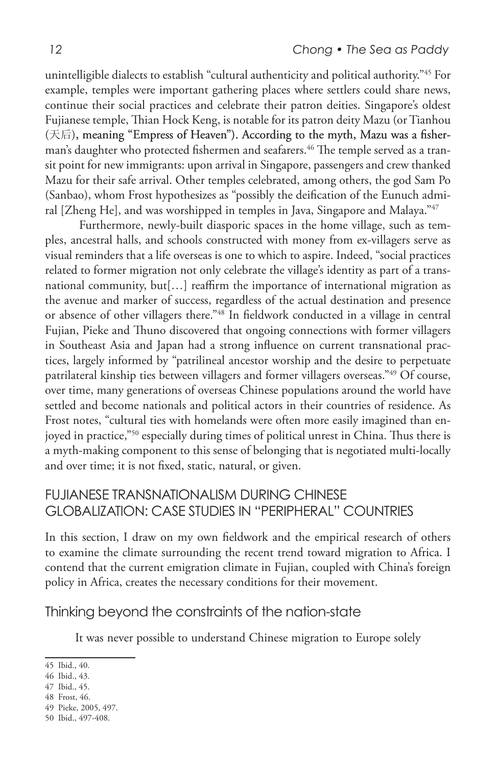unintelligible dialects to establish "cultural authenticity and political authority."45 For example, temples were important gathering places where settlers could share news, continue their social practices and celebrate their patron deities. Singapore's oldest Fujianese temple, Thian Hock Keng, is notable for its patron deity Mazu (or Tianhou  $($ 天后), meaning "Empress of Heaven"). According to the myth, Mazu was a fisherman's daughter who protected fishermen and seafarers.<sup>46</sup> The temple served as a transit point for new immigrants: upon arrival in Singapore, passengers and crew thanked Mazu for their safe arrival. Other temples celebrated, among others, the god Sam Po (Sanbao), whom Frost hypothesizes as "possibly the deification of the Eunuch admiral [Zheng He], and was worshipped in temples in Java, Singapore and Malaya."47

 Furthermore, newly-built diasporic spaces in the home village, such as temples, ancestral halls, and schools constructed with money from ex-villagers serve as visual reminders that a life overseas is one to which to aspire. Indeed, "social practices related to former migration not only celebrate the village's identity as part of a transnational community, but[…] reaffirm the importance of international migration as the avenue and marker of success, regardless of the actual destination and presence or absence of other villagers there."48 In fieldwork conducted in a village in central Fujian, Pieke and Thuno discovered that ongoing connections with former villagers in Southeast Asia and Japan had a strong influence on current transnational practices, largely informed by "patrilineal ancestor worship and the desire to perpetuate patrilateral kinship ties between villagers and former villagers overseas."49 Of course, over time, many generations of overseas Chinese populations around the world have settled and become nationals and political actors in their countries of residence. As Frost notes, "cultural ties with homelands were often more easily imagined than enjoyed in practice,"50 especially during times of political unrest in China. Thus there is a myth-making component to this sense of belonging that is negotiated multi-locally and over time; it is not fixed, static, natural, or given.

## Fujianese Transnationalism during Chinese GlobalizatioN: Case Studies in "Peripheral" Countries

In this section, I draw on my own fieldwork and the empirical research of others to examine the climate surrounding the recent trend toward migration to Africa. I contend that the current emigration climate in Fujian, coupled with China's foreign policy in Africa, creates the necessary conditions for their movement.

## Thinking beyond the constraints of the nation-state

It was never possible to understand Chinese migration to Europe solely

<sup>45</sup> Ibid., 40.

<sup>46</sup> Ibid., 43.

<sup>47</sup> Ibid., 45.

<sup>48</sup> Frost, 46.

<sup>49</sup> Pieke, 2005, 497.

<sup>50</sup> Ibid., 497-408.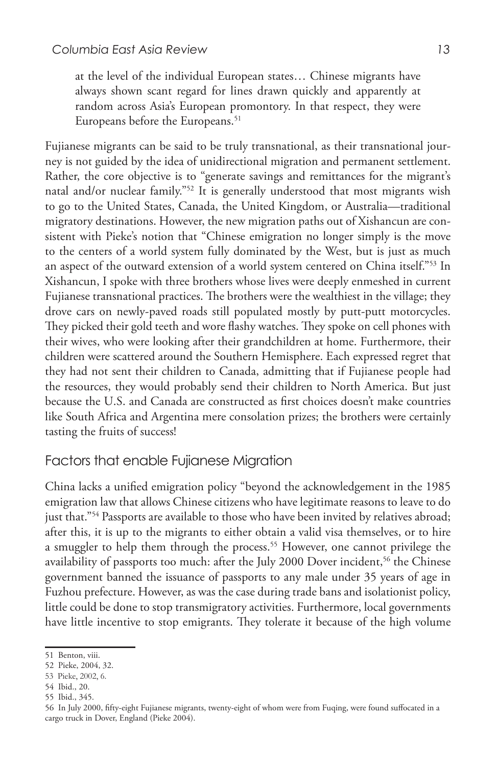at the level of the individual European states… Chinese migrants have always shown scant regard for lines drawn quickly and apparently at random across Asia's European promontory. In that respect, they were Europeans before the Europeans.<sup>51</sup>

Fujianese migrants can be said to be truly transnational, as their transnational journey is not guided by the idea of unidirectional migration and permanent settlement. Rather, the core objective is to "generate savings and remittances for the migrant's natal and/or nuclear family."52 It is generally understood that most migrants wish to go to the United States, Canada, the United Kingdom, or Australia—traditional migratory destinations. However, the new migration paths out of Xishancun are consistent with Pieke's notion that "Chinese emigration no longer simply is the move to the centers of a world system fully dominated by the West, but is just as much an aspect of the outward extension of a world system centered on China itself."53 In Xishancun, I spoke with three brothers whose lives were deeply enmeshed in current Fujianese transnational practices. The brothers were the wealthiest in the village; they drove cars on newly-paved roads still populated mostly by putt-putt motorcycles. They picked their gold teeth and wore flashy watches. They spoke on cell phones with their wives, who were looking after their grandchildren at home. Furthermore, their children were scattered around the Southern Hemisphere. Each expressed regret that they had not sent their children to Canada, admitting that if Fujianese people had the resources, they would probably send their children to North America. But just because the U.S. and Canada are constructed as first choices doesn't make countries like South Africa and Argentina mere consolation prizes; the brothers were certainly tasting the fruits of success!

## Factors that enable Fujianese Migration

China lacks a unified emigration policy "beyond the acknowledgement in the 1985 emigration law that allows Chinese citizens who have legitimate reasons to leave to do just that."54 Passports are available to those who have been invited by relatives abroad; after this, it is up to the migrants to either obtain a valid visa themselves, or to hire a smuggler to help them through the process.<sup>55</sup> However, one cannot privilege the availability of passports too much: after the July 2000 Dover incident,<sup>56</sup> the Chinese government banned the issuance of passports to any male under 35 years of age in Fuzhou prefecture. However, as was the case during trade bans and isolationist policy, little could be done to stop transmigratory activities. Furthermore, local governments have little incentive to stop emigrants. They tolerate it because of the high volume

<sup>51</sup> Benton, viii.

<sup>52</sup> Pieke, 2004, 32.

<sup>53</sup> Pieke, 2002, 6.

<sup>54</sup> Ibid., 20.

<sup>55</sup> Ibid., 345.

<sup>56</sup> In July 2000, fifty-eight Fujianese migrants, twenty-eight of whom were from Fuqing, were found suffocated in a cargo truck in Dover, England (Pieke 2004).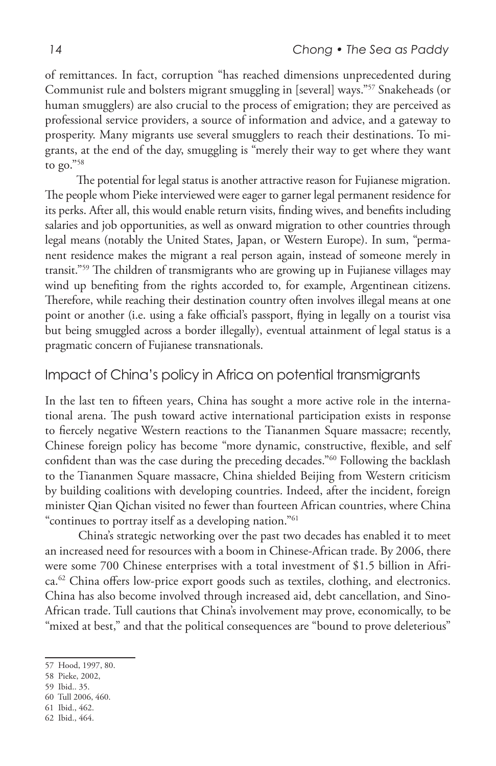of remittances. In fact, corruption "has reached dimensions unprecedented during Communist rule and bolsters migrant smuggling in [several] ways."57 Snakeheads (or human smugglers) are also crucial to the process of emigration; they are perceived as professional service providers, a source of information and advice, and a gateway to prosperity. Many migrants use several smugglers to reach their destinations. To migrants, at the end of the day, smuggling is "merely their way to get where they want to go."58

 The potential for legal status is another attractive reason for Fujianese migration. The people whom Pieke interviewed were eager to garner legal permanent residence for its perks. After all, this would enable return visits, finding wives, and benefits including salaries and job opportunities, as well as onward migration to other countries through legal means (notably the United States, Japan, or Western Europe). In sum, "permanent residence makes the migrant a real person again, instead of someone merely in transit."59 The children of transmigrants who are growing up in Fujianese villages may wind up benefiting from the rights accorded to, for example, Argentinean citizens. Therefore, while reaching their destination country often involves illegal means at one point or another (i.e. using a fake official's passport, flying in legally on a tourist visa but being smuggled across a border illegally), eventual attainment of legal status is a pragmatic concern of Fujianese transnationals.

## Impact of China's policy in Africa on potential transmigrants

In the last ten to fifteen years, China has sought a more active role in the international arena. The push toward active international participation exists in response to fiercely negative Western reactions to the Tiananmen Square massacre; recently, Chinese foreign policy has become "more dynamic, constructive, flexible, and self confident than was the case during the preceding decades."60 Following the backlash to the Tiananmen Square massacre, China shielded Beijing from Western criticism by building coalitions with developing countries. Indeed, after the incident, foreign minister Qian Qichan visited no fewer than fourteen African countries, where China "continues to portray itself as a developing nation."61

 China's strategic networking over the past two decades has enabled it to meet an increased need for resources with a boom in Chinese-African trade. By 2006, there were some 700 Chinese enterprises with a total investment of \$1.5 billion in Africa.<sup>62</sup> China offers low-price export goods such as textiles, clothing, and electronics. China has also become involved through increased aid, debt cancellation, and Sino-African trade. Tull cautions that China's involvement may prove, economically, to be "mixed at best," and that the political consequences are "bound to prove deleterious"

- 59 Ibid.. 35.
- 60 Tull 2006, 460.
- 61 Ibid., 462. 62 Ibid., 464.

<sup>57</sup> Hood, 1997, 80.

<sup>58</sup> Pieke, 2002,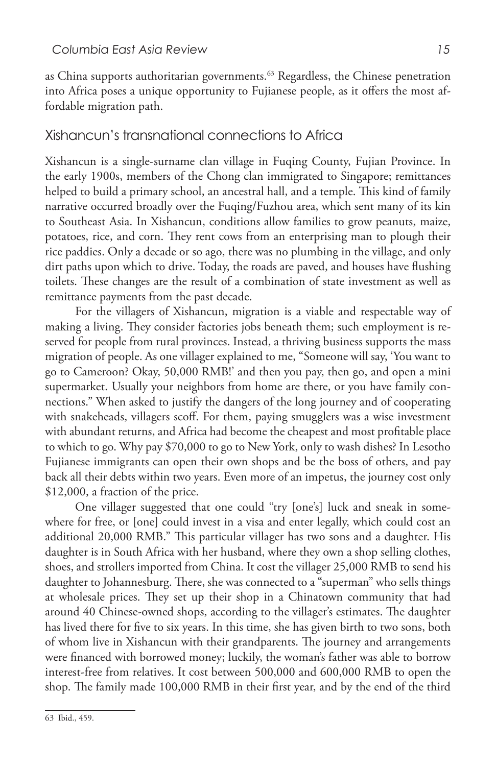as China supports authoritarian governments.<sup>63</sup> Regardless, the Chinese penetration into Africa poses a unique opportunity to Fujianese people, as it offers the most affordable migration path.

#### Xishancun's transnational connections to Africa

Xishancun is a single-surname clan village in Fuqing County, Fujian Province. In the early 1900s, members of the Chong clan immigrated to Singapore; remittances helped to build a primary school, an ancestral hall, and a temple. This kind of family narrative occurred broadly over the Fuqing/Fuzhou area, which sent many of its kin to Southeast Asia. In Xishancun, conditions allow families to grow peanuts, maize, potatoes, rice, and corn. They rent cows from an enterprising man to plough their rice paddies. Only a decade or so ago, there was no plumbing in the village, and only dirt paths upon which to drive. Today, the roads are paved, and houses have flushing toilets. These changes are the result of a combination of state investment as well as remittance payments from the past decade.

For the villagers of Xishancun, migration is a viable and respectable way of making a living. They consider factories jobs beneath them; such employment is reserved for people from rural provinces. Instead, a thriving business supports the mass migration of people. As one villager explained to me, "Someone will say, 'You want to go to Cameroon? Okay, 50,000 RMB!' and then you pay, then go, and open a mini supermarket. Usually your neighbors from home are there, or you have family connections." When asked to justify the dangers of the long journey and of cooperating with snakeheads, villagers scoff. For them, paying smugglers was a wise investment with abundant returns, and Africa had become the cheapest and most profitable place to which to go. Why pay \$70,000 to go to New York, only to wash dishes? In Lesotho Fujianese immigrants can open their own shops and be the boss of others, and pay back all their debts within two years. Even more of an impetus, the journey cost only \$12,000, a fraction of the price.

One villager suggested that one could "try [one's] luck and sneak in somewhere for free, or [one] could invest in a visa and enter legally, which could cost an additional 20,000 RMB." This particular villager has two sons and a daughter. His daughter is in South Africa with her husband, where they own a shop selling clothes, shoes, and strollers imported from China. It cost the villager 25,000 RMB to send his daughter to Johannesburg. There, she was connected to a "superman" who sells things at wholesale prices. They set up their shop in a Chinatown community that had around 40 Chinese-owned shops, according to the villager's estimates. The daughter has lived there for five to six years. In this time, she has given birth to two sons, both of whom live in Xishancun with their grandparents. The journey and arrangements were financed with borrowed money; luckily, the woman's father was able to borrow interest-free from relatives. It cost between 500,000 and 600,000 RMB to open the shop. The family made 100,000 RMB in their first year, and by the end of the third

<sup>63</sup> Ibid., 459.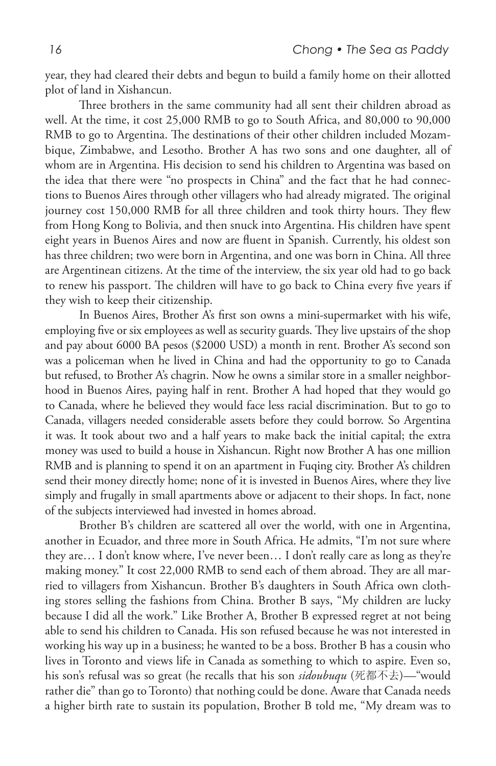year, they had cleared their debts and begun to build a family home on their allotted plot of land in Xishancun.

 Three brothers in the same community had all sent their children abroad as well. At the time, it cost 25,000 RMB to go to South Africa, and 80,000 to 90,000 RMB to go to Argentina. The destinations of their other children included Mozambique, Zimbabwe, and Lesotho. Brother A has two sons and one daughter, all of whom are in Argentina. His decision to send his children to Argentina was based on the idea that there were "no prospects in China" and the fact that he had connections to Buenos Aires through other villagers who had already migrated. The original journey cost 150,000 RMB for all three children and took thirty hours. They flew from Hong Kong to Bolivia, and then snuck into Argentina. His children have spent eight years in Buenos Aires and now are fluent in Spanish. Currently, his oldest son has three children; two were born in Argentina, and one was born in China. All three are Argentinean citizens. At the time of the interview, the six year old had to go back to renew his passport. The children will have to go back to China every five years if they wish to keep their citizenship.

 In Buenos Aires, Brother A's first son owns a mini-supermarket with his wife, employing five or six employees as well as security guards. They live upstairs of the shop and pay about 6000 BA pesos (\$2000 USD) a month in rent. Brother A's second son was a policeman when he lived in China and had the opportunity to go to Canada but refused, to Brother A's chagrin. Now he owns a similar store in a smaller neighborhood in Buenos Aires, paying half in rent. Brother A had hoped that they would go to Canada, where he believed they would face less racial discrimination. But to go to Canada, villagers needed considerable assets before they could borrow. So Argentina it was. It took about two and a half years to make back the initial capital; the extra money was used to build a house in Xishancun. Right now Brother A has one million RMB and is planning to spend it on an apartment in Fuqing city. Brother A's children send their money directly home; none of it is invested in Buenos Aires, where they live simply and frugally in small apartments above or adjacent to their shops. In fact, none of the subjects interviewed had invested in homes abroad.

Brother B's children are scattered all over the world, with one in Argentina, another in Ecuador, and three more in South Africa. He admits, "I'm not sure where they are… I don't know where, I've never been… I don't really care as long as they're making money." It cost 22,000 RMB to send each of them abroad. They are all married to villagers from Xishancun. Brother B's daughters in South Africa own clothing stores selling the fashions from China. Brother B says, "My children are lucky because I did all the work." Like Brother A, Brother B expressed regret at not being able to send his children to Canada. His son refused because he was not interested in working his way up in a business; he wanted to be a boss. Brother B has a cousin who lives in Toronto and views life in Canada as something to which to aspire. Even so, his son's refusal was so great (he recalls that his son *sidoubuqu* (死都不去)*—*"would rather die" than go to Toronto) that nothing could be done. Aware that Canada needs a higher birth rate to sustain its population, Brother B told me, "My dream was to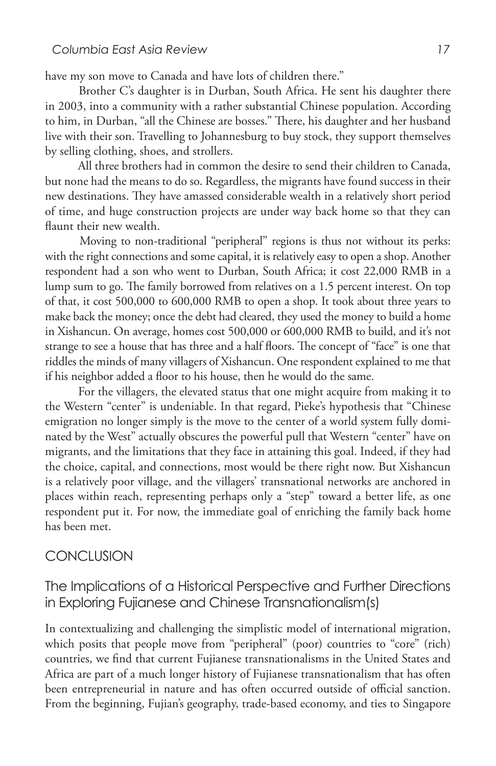have my son move to Canada and have lots of children there."

Brother C's daughter is in Durban, South Africa. He sent his daughter there in 2003, into a community with a rather substantial Chinese population. According to him, in Durban, "all the Chinese are bosses." There, his daughter and her husband live with their son. Travelling to Johannesburg to buy stock, they support themselves by selling clothing, shoes, and strollers.

 All three brothers had in common the desire to send their children to Canada, but none had the means to do so. Regardless, the migrants have found success in their new destinations. They have amassed considerable wealth in a relatively short period of time, and huge construction projects are under way back home so that they can flaunt their new wealth.

 Moving to non-traditional "peripheral" regions is thus not without its perks: with the right connections and some capital, it is relatively easy to open a shop. Another respondent had a son who went to Durban, South Africa; it cost 22,000 RMB in a lump sum to go. The family borrowed from relatives on a 1.5 percent interest. On top of that, it cost 500,000 to 600,000 RMB to open a shop. It took about three years to make back the money; once the debt had cleared, they used the money to build a home in Xishancun. On average, homes cost 500,000 or 600,000 RMB to build, and it's not strange to see a house that has three and a half floors. The concept of "face" is one that riddles the minds of many villagers of Xishancun. One respondent explained to me that if his neighbor added a floor to his house, then he would do the same.

 For the villagers, the elevated status that one might acquire from making it to the Western "center" is undeniable. In that regard, Pieke's hypothesis that "Chinese emigration no longer simply is the move to the center of a world system fully dominated by the West" actually obscures the powerful pull that Western "center" have on migrants, and the limitations that they face in attaining this goal. Indeed, if they had the choice, capital, and connections, most would be there right now. But Xishancun is a relatively poor village, and the villagers' transnational networks are anchored in places within reach, representing perhaps only a "step" toward a better life, as one respondent put it. For now, the immediate goal of enriching the family back home has been met.

#### **CONCLUSION**

## The Implications of a Historical Perspective and Further Directions in Exploring Fujianese and Chinese Transnationalism(s)

In contextualizing and challenging the simplistic model of international migration, which posits that people move from "peripheral" (poor) countries to "core" (rich) countries, we find that current Fujianese transnationalisms in the United States and Africa are part of a much longer history of Fujianese transnationalism that has often been entrepreneurial in nature and has often occurred outside of official sanction. From the beginning, Fujian's geography, trade-based economy, and ties to Singapore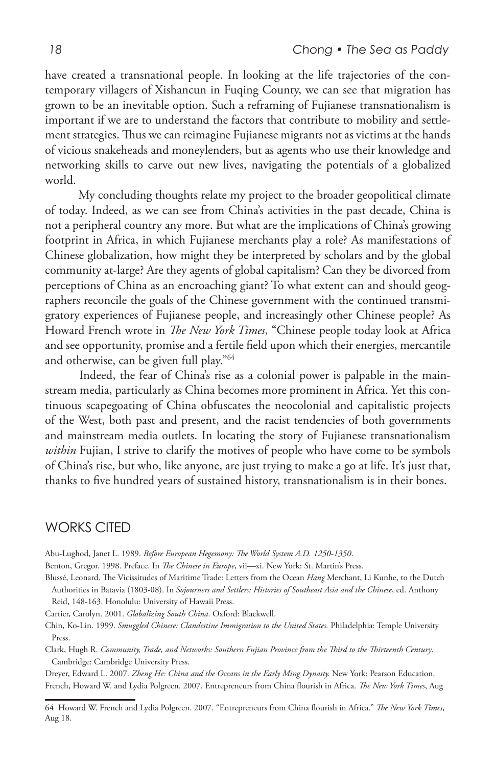have created a transnational people. In looking at the life trajectories of the contemporary villagers of Xishancun in Fuqing County, we can see that migration has grown to be an inevitable option. Such a reframing of Fujianese transnationalism is important if we are to understand the factors that contribute to mobility and settlement strategies. Thus we can reimagine Fujianese migrants not as victims at the hands of vicious snakeheads and moneylenders, but as agents who use their knowledge and networking skills to carve out new lives, navigating the potentials of a globalized world.

 My concluding thoughts relate my project to the broader geopolitical climate of today. Indeed, as we can see from China's activities in the past decade, China is not a peripheral country any more. But what are the implications of China's growing footprint in Africa, in which Fujianese merchants play a role? As manifestations of Chinese globalization, how might they be interpreted by scholars and by the global community at-large? Are they agents of global capitalism? Can they be divorced from perceptions of China as an encroaching giant? To what extent can and should geographers reconcile the goals of the Chinese government with the continued transmigratory experiences of Fujianese people, and increasingly other Chinese people? As Howard French wrote in *The New York Times*, "Chinese people today look at Africa and see opportunity, promise and a fertile field upon which their energies, mercantile and otherwise, can be given full play."64

 Indeed, the fear of China's rise as a colonial power is palpable in the mainstream media, particularly as China becomes more prominent in Africa. Yet this continuous scapegoating of China obfuscates the neocolonial and capitalistic projects of the West, both past and present, and the racist tendencies of both governments and mainstream media outlets. In locating the story of Fujianese transnationalism *within* Fujian, I strive to clarify the motives of people who have come to be symbols of China's rise, but who, like anyone, are just trying to make a go at life. It's just that, thanks to five hundred years of sustained history, transnationalism is in their bones.

### WORKS CITED

Abu-Lughod, Janet L. 1989. *Before European Hegemony: The World System A.D. 1250-1350*.

Benton, Gregor. 1998. Preface. In *The Chinese in Europe*, vii—xi. New York: St. Martin's Press.

Blussé, Leonard. The Vicissitudes of Maritime Trade: Letters from the Ocean *Hang* Merchant, Li Kunhe, to the Dutch Authorities in Batavia (1803-08). In *Sojourners and Settlers: Histories of Southeast Asia and the Chinese*, ed. Anthony Reid, 148-163. Honolulu: University of Hawaii Press.

Cartier, Carolyn. 2001. *Globalizing South China*. Oxford: Blackwell.

Chin, Ko-Lin. 1999. *Smuggled Chinese: Clandestine Immigration to the United States.* Philadelphia: Temple University Press.

Clark, Hugh R. *Community, Trade, and Networks: Southern Fujian Province from the Third to the Thirteenth Century*. Cambridge: Cambridge University Press.

Dreyer, Edward L. 2007. *Zheng He: China and the Oceans in the Early Ming Dynasty.* New York: Pearson Education. French, Howard W. and Lydia Polgreen. 2007. Entrepreneurs from China flourish in Africa. *The New York Times*, Aug

<sup>64</sup> Howard W. French and Lydia Polgreen. 2007. "Entrepreneurs from China flourish in Africa." *The New York Times*, Aug 18.